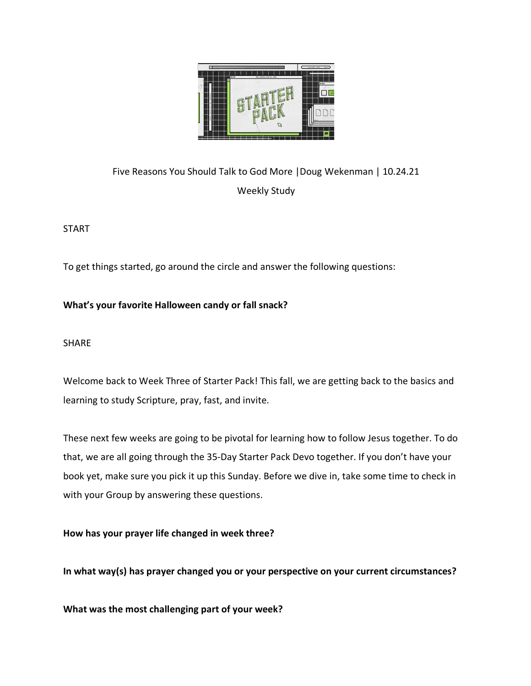

Five Reasons You Should Talk to God More |Doug Wekenman | 10.24.21 Weekly Study

START

To get things started, go around the circle and answer the following questions:

**What's your favorite Halloween candy or fall snack?** 

SHARE

Welcome back to Week Three of Starter Pack! This fall, we are getting back to the basics and learning to study Scripture, pray, fast, and invite.

These next few weeks are going to be pivotal for learning how to follow Jesus together. To do that, we are all going through the 35-Day Starter Pack Devo together. If you don't have your book yet, make sure you pick it up this Sunday. Before we dive in, take some time to check in with your Group by answering these questions.

**How has your prayer life changed in week three?**

**In what way(s) has prayer changed you or your perspective on your current circumstances?** 

**What was the most challenging part of your week?**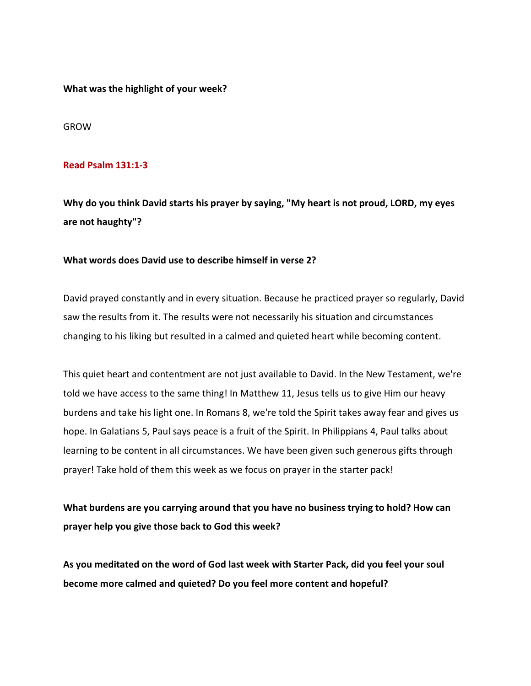**What was the highlight of your week?** 

GROW

### **Read Psalm 131:1-3**

**Why do you think David starts his prayer by saying, "My heart is not proud, LORD, my eyes are not haughty"?**

# **What words does David use to describe himself in verse 2?**

David prayed constantly and in every situation. Because he practiced prayer so regularly, David saw the results from it. The results were not necessarily his situation and circumstances changing to his liking but resulted in a calmed and quieted heart while becoming content.

This quiet heart and contentment are not just available to David. In the New Testament, we're told we have access to the same thing! In Matthew 11, Jesus tells us to give Him our heavy burdens and take his light one. In Romans 8, we're told the Spirit takes away fear and gives us hope. In Galatians 5, Paul says peace is a fruit of the Spirit. In Philippians 4, Paul talks about learning to be content in all circumstances. We have been given such generous gifts through prayer! Take hold of them this week as we focus on prayer in the starter pack!

**What burdens are you carrying around that you have no business trying to hold? How can prayer help you give those back to God this week?** 

**As you meditated on the word of God last week with Starter Pack, did you feel your soul become more calmed and quieted? Do you feel more content and hopeful?**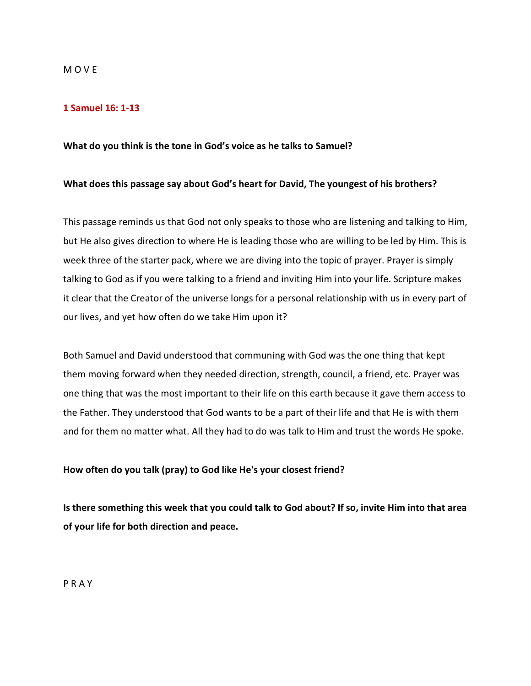#### M O V E

# **1 Samuel 16: 1-13**

#### **What do you think is the tone in God's voice as he talks to Samuel?**

#### **What does this passage say about God's heart for David, The youngest of his brothers?**

This passage reminds us that God not only speaks to those who are listening and talking to Him, but He also gives direction to where He is leading those who are willing to be led by Him. This is week three of the starter pack, where we are diving into the topic of prayer. Prayer is simply talking to God as if you were talking to a friend and inviting Him into your life. Scripture makes it clear that the Creator of the universe longs for a personal relationship with us in every part of our lives, and yet how often do we take Him upon it?

Both Samuel and David understood that communing with God was the one thing that kept them moving forward when they needed direction, strength, council, a friend, etc. Prayer was one thing that was the most important to their life on this earth because it gave them access to the Father. They understood that God wants to be a part of their life and that He is with them and for them no matter what. All they had to do was talk to Him and trust the words He spoke.

# **How often do you talk (pray) to God like He's your closest friend?**

**Is there something this week that you could talk to God about? If so, invite Him into that area of your life for both direction and peace.** 

P R A Y